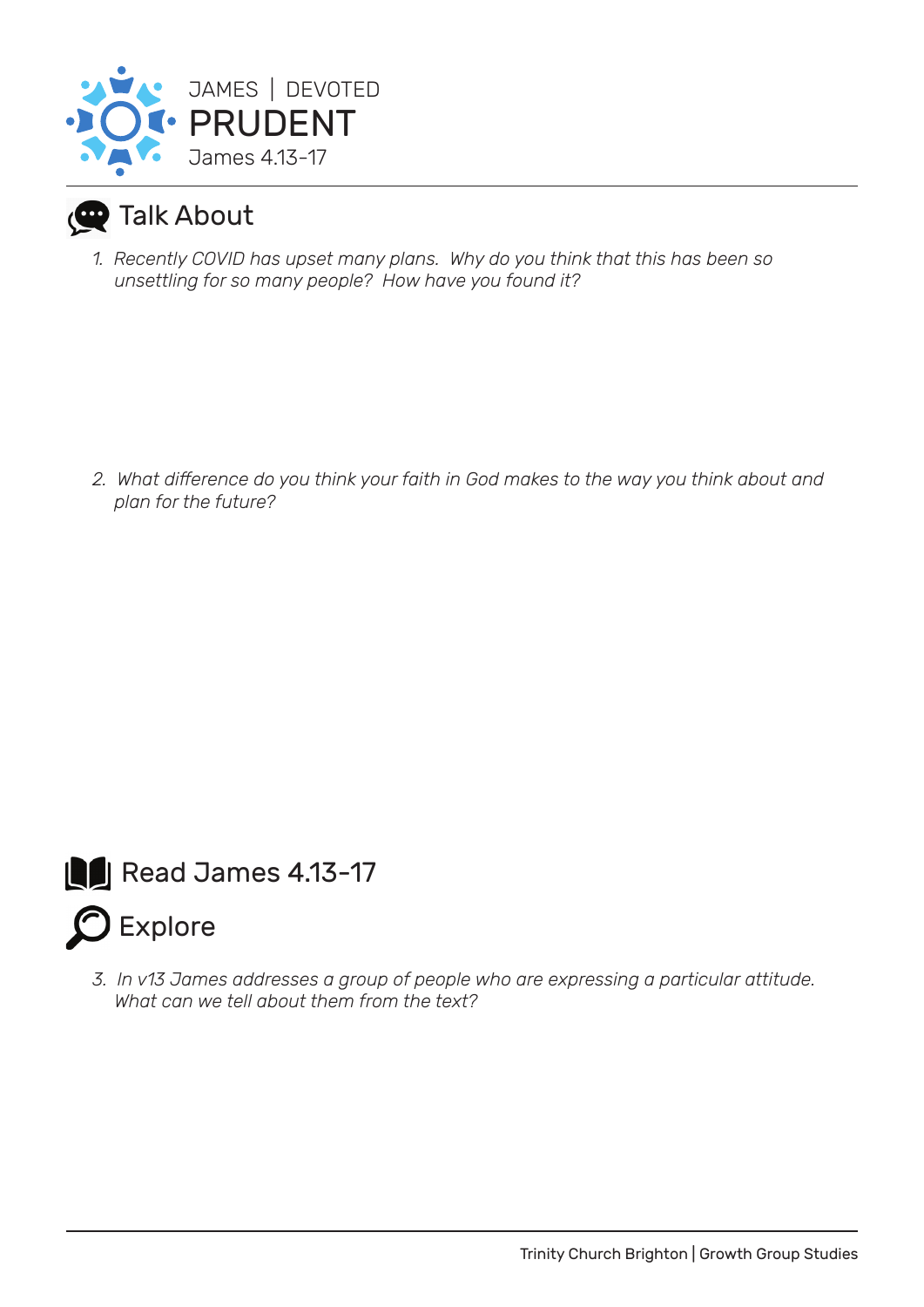

## **Talk About**

*1. Recently COVID has upset many plans. Why do you think that this has been so unsettling for so many people? How have you found it?*

*2. What difference do you think your faith in God makes to the way you think about and plan for the future?*



*3. In v13 James addresses a group of people who are expressing a particular attitude. What can we tell about them from the text?*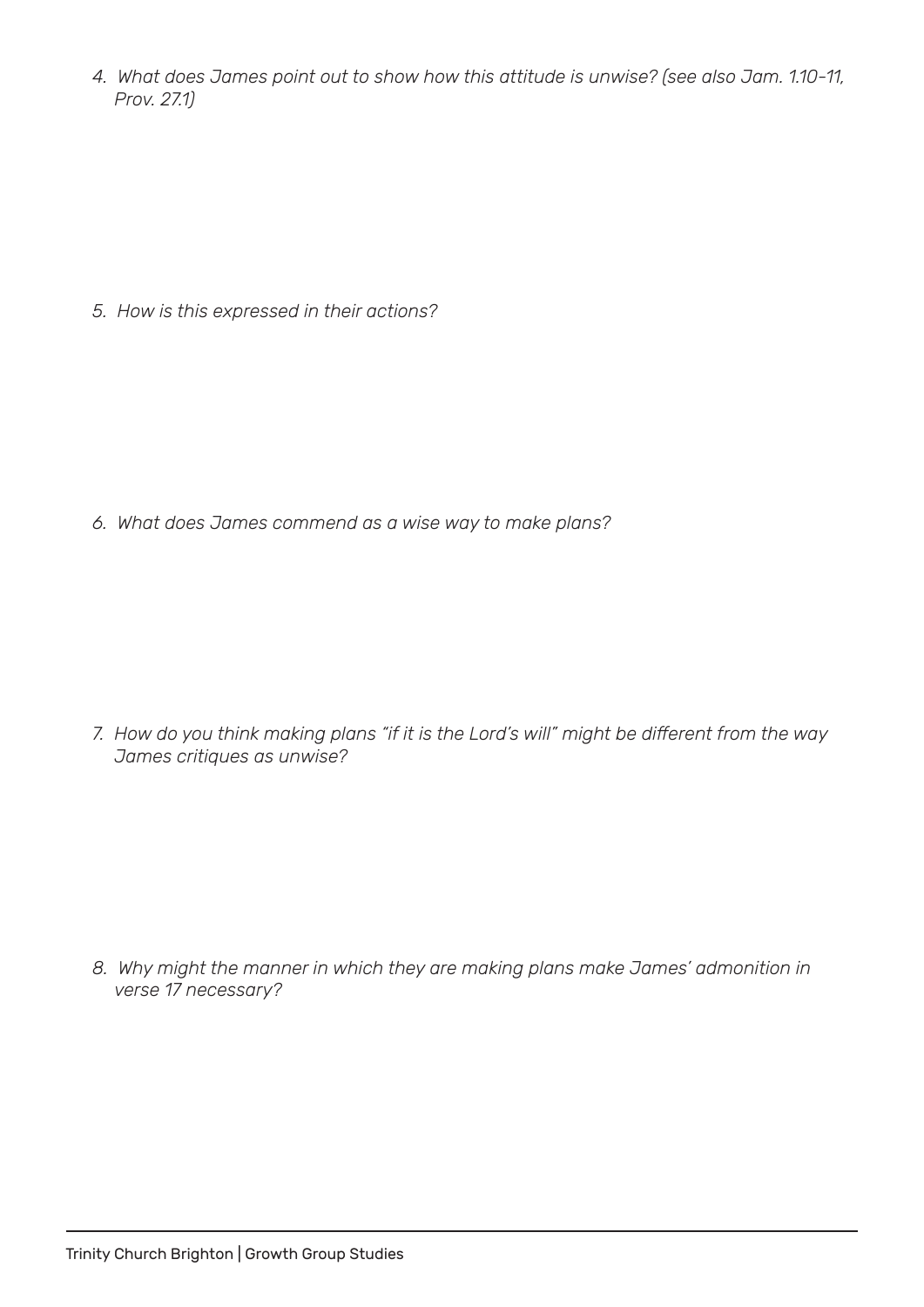*4. What does James point out to show how this attitude is unwise? (see also Jam. 1.10-11, Prov. 27.1)*

*5. How is this expressed in their actions?*

*6. What does James commend as a wise way to make plans?*

*7. How do you think making plans "if it is the Lord's will" might be different from the way James critiques as unwise?*

*8. Why might the manner in which they are making plans make James' admonition in verse 17 necessary?*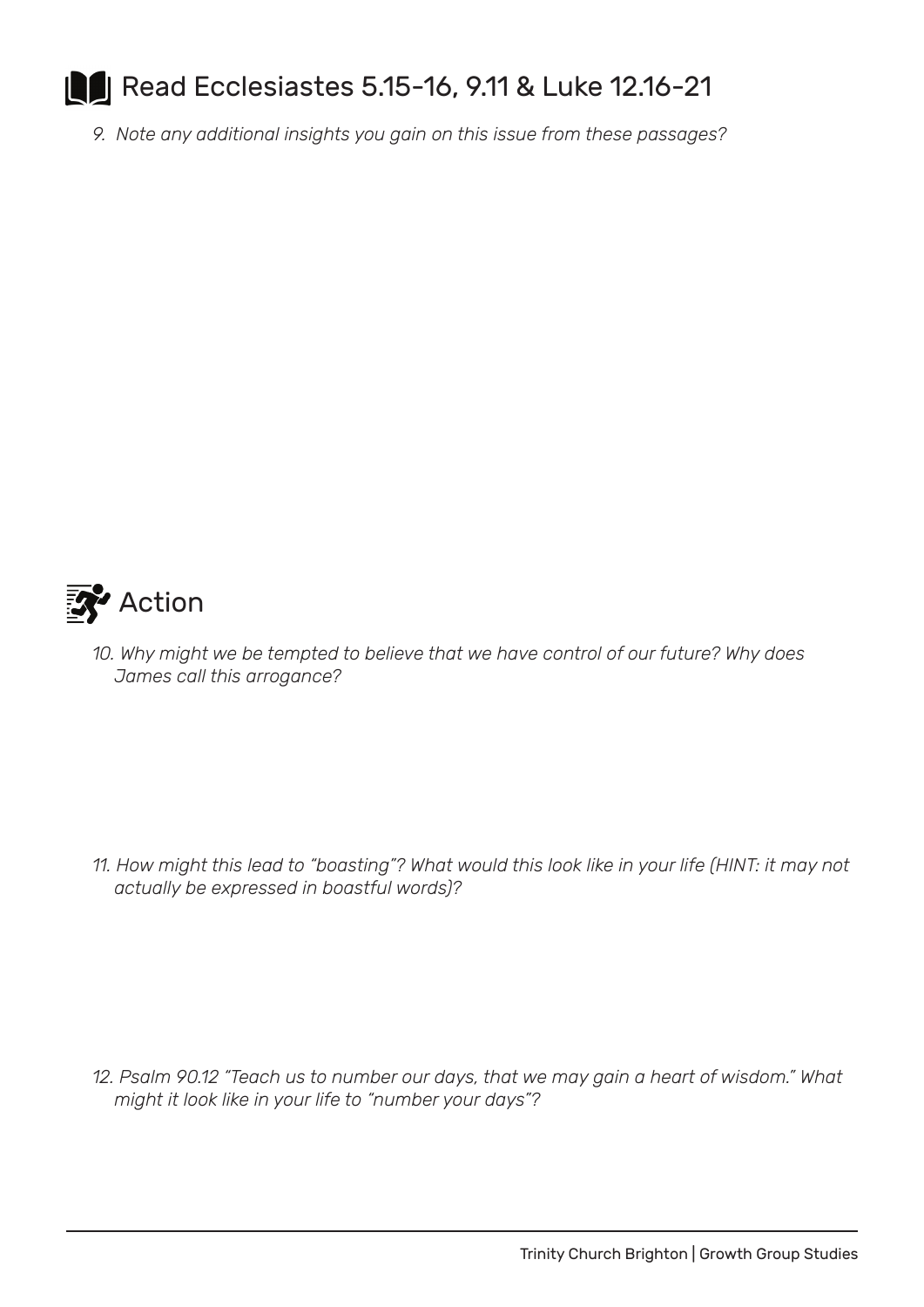## **B** Read Ecclesiastes 5.15-16, 9.11 & Luke 12.16-21 ll

*9. Note any additional insights you gain on this issue from these passages?*



*10. Why might we be tempted to believe that we have control of our future? Why does James call this arrogance?*

*11. How might this lead to "boasting"? What would this look like in your life (HINT: it may not actually be expressed in boastful words)?*

*12. Psalm 90.12 "Teach us to number our days, that we may gain a heart of wisdom." What might it look like in your life to "number your days"?*